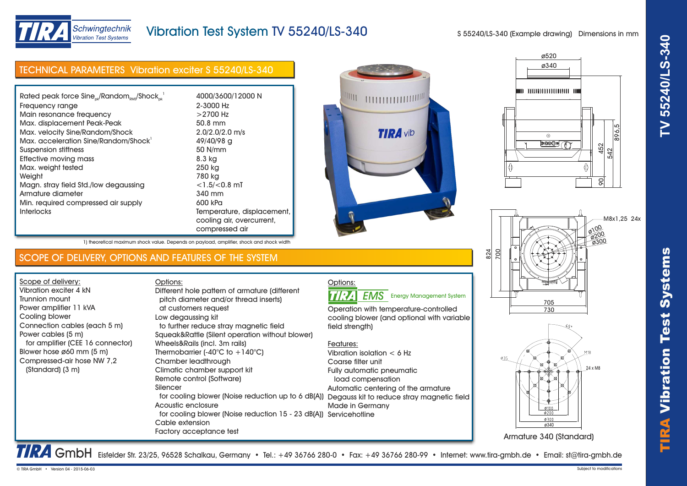



# Schwingtechnik **Vibration Test Systems**

## Vibration Test System TV 55240/LS-340

S 55240/LS-340 (Example drawing) Dimensions in mm

ø520

ø340

*MODODDDDBBDDDDDBDBD* 

ര 00000 6

| <b>TECHNICAL PARAMETERS Vibration exciter S 55240/LS-340</b> |                            |
|--------------------------------------------------------------|----------------------------|
|                                                              |                            |
| Rated peak force $Sine_{ok}/Random_{RMS}/Shock_{ck}^{-1}$    | 4000/3600/12000 N          |
| Frequency range                                              | 2-3000 Hz                  |
| Main resonance frequency                                     | $>2700$ Hz                 |
| Max. displacement Peak-Peak                                  | 50.8 mm                    |
| Max. velocity Sine/Random/Shock                              | $2.0/2.0/2.0$ m/s          |
| Max. acceleration Sine/Random/Shock                          | 49/40/98 g                 |
| Suspension stiffness                                         | 50 N/mm                    |
| Effective moving mass                                        | 8.3 kg                     |
| Max. weight tested                                           | 250 kg                     |
| Weight                                                       | 780 kg                     |
| Magn. stray field Std./low degaussing                        | $<$ 1.5/ $<$ 0.8 mT        |
| Armature diameter                                            | 340 mm                     |
| Min. required compressed air supply                          | 600 kPa                    |
| <b>Interlocks</b>                                            | Temperature, displacement, |
|                                                              | cooling air, overcurrent,  |
|                                                              | compressed air             |



1) theoretical maximum shock value. Depends on payload, amplifier, shock and shock width

### SCOPE OF DELIVERY, OPTIONS AND FEATURES OF THE SYSTEM

Scope of delivery: Vibration exciter 4 kN Trunnion mount Power amplifier 11 kVA Cooling blower Connection cables (each 5 m) Power cables (5 m) for amplifier (CEE 16 connector) Blower hose ø60 mm (5 m) Compressed-air hose NW 7,2 (Standard) (3 m)

Options: pitch diameter and/or thread inserts) at customers request Low degaussing kit to further reduce stray magnetic field Squeak&Rattle (Silent operation without blower) Wheels&Rails (incl. 3m rails) Thermobarrier  $(-40^{\circ}C)$  to  $+140^{\circ}C$ ) Chamber leadthrough Climatic chamber support kit Remote control (Software) Silencer for cooling blower (Noise reduction up to 6 dB(A)) Degauss kit to reduce stray magnetic field Acoustic enclosure for cooling blower (Noise reduction 15 - 23 dB(A)) Servicehotline Cable extension Factory acceptance test Different hole pattern of armature (different

#### Options: **TIRA EMS** Energy Management System

Operation with temperature-controlled cooling blower (and optional with variable field strength)

#### Features:

Vibration isolation < 6 Hz Coarse filter unit Fully automatic pneumatic load compensation Automatic centering of the armature Made in Germany





452

542

896,5

90

TRA GmbH Eisfelder Str. 23/25, 96528 Schalkau, Germany • Tel.: +49 36766 280-0 • Fax: +49 36766 280-99 • Internet: www.tira-gmbh.de • Email: st@tira-gmbh.de